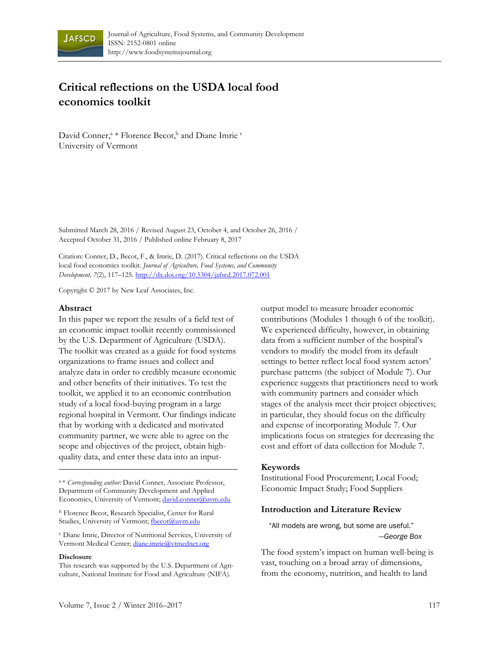

# **Critical reflections on the USDA local food economics toolkit**

David Conner,<sup>a</sup> \* Florence Becot,<sup>b</sup> and Diane Imrie <sup>c</sup> University of Vermont

Submitted March 28, 2016 / Revised August 23, October 4, and October 26, 2016 / Accepted October 31, 2016 / Published online February 8, 2017

Citation: Conner, D., Becot, F., & Imrie, D. (2017). Critical reflections on the USDA local food economics toolkit. *Journal of Agriculture, Food Systems, and Community Development, 7*(2), 117–125. http://dx.doi.org/10.5304/jafscd.2017.072.001

Copyright © 2017 by New Leaf Associates, Inc.

#### **Abstract**

In this paper we report the results of a field test of an economic impact toolkit recently commissioned by the U.S. Department of Agriculture (USDA). The toolkit was created as a guide for food systems organizations to frame issues and collect and analyze data in order to credibly measure economic and other benefits of their initiatives. To test the toolkit, we applied it to an economic contribution study of a local food-buying program in a large regional hospital in Vermont. Our findings indicate that by working with a dedicated and motivated community partner, we were able to agree on the scope and objectives of the project, obtain highquality data, and enter these data into an input-

<sup>a</sup> \* *Corresponding author:* David Conner, Associate Professor, Department of Community Development and Applied Economics, University of Vermont; david.conner@uvm.edu

<sup>b</sup> Florence Becot, Research Specialist, Center for Rural Studies, University of Vermont; fbecot@uvm.edu

<sup>c</sup> Diane Imrie, Director of Nutritional Services, University of Vermont Medical Center; diane.imrie@vtmednet.org

#### **Disclosure**

This research was supported by the U.S. Department of Agriculture, National Institute for Food and Agriculture (NIFA).

output model to measure broader economic contributions (Modules 1 though 6 of the toolkit). We experienced difficulty, however, in obtaining data from a sufficient number of the hospital's vendors to modify the model from its default settings to better reflect local food system actors' purchase patterns (the subject of Module 7). Our experience suggests that practitioners need to work with community partners and consider which stages of the analysis meet their project objectives; in particular, they should focus on the difficulty and expense of incorporating Module 7. Our implications focus on strategies for decreasing the cost and effort of data collection for Module 7.

#### **Keywords**

Institutional Food Procurement; Local Food; Economic Impact Study; Food Suppliers

#### **Introduction and Literature Review**

"All models are wrong, but some are useful." —*George Box*

The food system's impact on human well-being is vast, touching on a broad array of dimensions, from the economy, nutrition, and health to land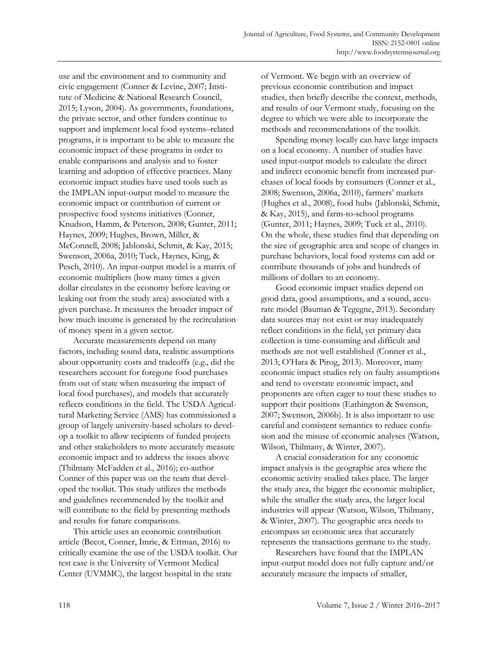use and the environment and to community and civic engagement (Conner & Levine, 2007; Institute of Medicine & National Research Council, 2015; Lyson, 2004). As governments, foundations, the private sector, and other funders continue to support and implement local food systems–related programs, it is important to be able to measure the economic impact of these programs in order to enable comparisons and analysis and to foster learning and adoption of effective practices. Many economic impact studies have used tools such as the IMPLAN input-output model to measure the economic impact or contribution of current or prospective food systems initiatives (Conner, Knudson, Hamm, & Peterson, 2008; Gunter, 2011; Haynes, 2009; Hughes, Brown, Miller, & McConnell, 2008; Jablonski, Schmit, & Kay, 2015; Swenson, 2006a, 2010; Tuck, Haynes, King, & Pesch, 2010). An input-output model is a matrix of economic multipliers (how many times a given dollar circulates in the economy before leaving or leaking out from the study area) associated with a given purchase. It measures the broader impact of how much income is generated by the recirculation of money spent in a given sector.

 Accurate measurements depend on many factors, including sound data, realistic assumptions about opportunity costs and tradeoffs (e.g., did the researchers account for foregone food purchases from out of state when measuring the impact of local food purchases), and models that accurately reflects conditions in the field. The USDA Agricultural Marketing Service (AMS) has commissioned a group of largely university-based scholars to develop a toolkit to allow recipients of funded projects and other stakeholders to more accurately measure economic impact and to address the issues above (Thilmany McFadden et al., 2016); co-author Conner of this paper was on the team that developed the toolkit. This study utilizes the methods and guidelines recommended by the toolkit and will contribute to the field by presenting methods and results for future comparisons.

 This article uses an economic contribution article (Becot, Conner, Imrie, & Ettman, 2016) to critically examine the use of the USDA toolkit. Our test case is the University of Vermont Medical Center (UVMMC), the largest hospital in the state

of Vermont. We begin with an overview of previous economic contribution and impact studies, then briefly describe the context, methods, and results of our Vermont study, focusing on the degree to which we were able to incorporate the methods and recommendations of the toolkit.

 Spending money locally can have large impacts on a local economy. A number of studies have used input-output models to calculate the direct and indirect economic benefit from increased purchases of local foods by consumers (Conner et al., 2008; Swenson, 2006a, 2010), farmers' markets (Hughes et al., 2008), food hubs (Jablonski, Schmit, & Kay, 2015), and farm-to-school programs (Gunter, 2011; Haynes, 2009; Tuck et al., 2010). On the whole, these studies find that depending on the size of geographic area and scope of changes in purchase behaviors, local food systems can add or contribute thousands of jobs and hundreds of millions of dollars to an economy.

 Good economic impact studies depend on good data, good assumptions, and a sound, accurate model (Bauman & Tegegne, 2013). Secondary data sources may not exist or may inadequately reflect conditions in the field, yet primary data collection is time-consuming and difficult and methods are not well established (Conner et al., 2013; O'Hara & Pirog, 2013). Moreover, many economic impact studies rely on faulty assumptions and tend to overstate economic impact, and proponents are often eager to tout these studies to support their positions (Eathington & Swenson, 2007; Swenson, 2006b). It is also important to use careful and consistent semantics to reduce confusion and the misuse of economic analyses (Watson, Wilson, Thilmany, & Winter, 2007).

 A crucial consideration for any economic impact analysis is the geographic area where the economic activity studied takes place. The larger the study area, the bigger the economic multiplier, while the smaller the study area, the larger local industries will appear (Watson, Wilson, Thilmany, & Winter, 2007). The geographic area needs to encompass an economic area that accurately represents the transactions germane to the study.

 Researchers have found that the IMPLAN input-output model does not fully capture and/or accurately measure the impacts of smaller,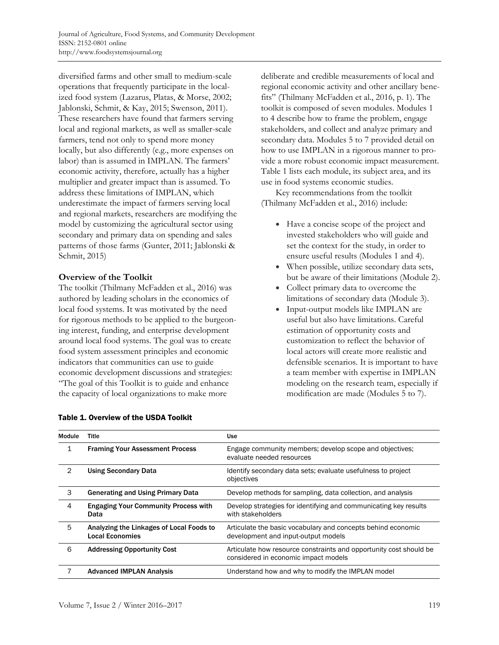diversified farms and other small to medium-scale operations that frequently participate in the localized food system (Lazarus, Platas, & Morse, 2002; Jablonski, Schmit, & Kay, 2015; Swenson, 2011). These researchers have found that farmers serving local and regional markets, as well as smaller-scale farmers, tend not only to spend more money locally, but also differently (e.g., more expenses on labor) than is assumed in IMPLAN. The farmers' economic activity, therefore, actually has a higher multiplier and greater impact than is assumed. To address these limitations of IMPLAN, which underestimate the impact of farmers serving local and regional markets, researchers are modifying the model by customizing the agricultural sector using secondary and primary data on spending and sales patterns of those farms (Gunter, 2011; Jablonski & Schmit, 2015)

## **Overview of the Toolkit**

The toolkit (Thilmany McFadden et al., 2016) was authored by leading scholars in the economics of local food systems. It was motivated by the need for rigorous methods to be applied to the burgeoning interest, funding, and enterprise development around local food systems. The goal was to create food system assessment principles and economic indicators that communities can use to guide economic development discussions and strategies: "The goal of this Toolkit is to guide and enhance the capacity of local organizations to make more

deliberate and credible measurements of local and regional economic activity and other ancillary benefits" (Thilmany McFadden et al., 2016, p. 1). The toolkit is composed of seven modules. Modules 1 to 4 describe how to frame the problem, engage stakeholders, and collect and analyze primary and secondary data. Modules 5 to 7 provided detail on how to use IMPLAN in a rigorous manner to provide a more robust economic impact measurement. Table 1 lists each module, its subject area, and its use in food systems economic studies.

 Key recommendations from the toolkit (Thilmany McFadden et al., 2016) include:

- Have a concise scope of the project and invested stakeholders who will guide and set the context for the study, in order to ensure useful results (Modules 1 and 4).
- When possible, utilize secondary data sets, but be aware of their limitations (Module 2).
- Collect primary data to overcome the limitations of secondary data (Module 3).
- Input-output models like IMPLAN are useful but also have limitations. Careful estimation of opportunity costs and customization to reflect the behavior of local actors will create more realistic and defensible scenarios. It is important to have a team member with expertise in IMPLAN modeling on the research team, especially if modification are made (Modules 5 to 7).

| Module         | <b>Title</b>                                                       | <b>Use</b>                                                                                                 |
|----------------|--------------------------------------------------------------------|------------------------------------------------------------------------------------------------------------|
| 1              | <b>Framing Your Assessment Process</b>                             | Engage community members; develop scope and objectives;<br>evaluate needed resources                       |
| $\overline{2}$ | <b>Using Secondary Data</b>                                        | Identify secondary data sets; evaluate usefulness to project<br>objectives                                 |
| 3              | <b>Generating and Using Primary Data</b>                           | Develop methods for sampling, data collection, and analysis                                                |
| 4              | <b>Engaging Your Community Process with</b><br>Data                | Develop strategies for identifying and communicating key results<br>with stakeholders                      |
| 5              | Analyzing the Linkages of Local Foods to<br><b>Local Economies</b> | Articulate the basic vocabulary and concepts behind economic<br>development and input-output models        |
| 6              | <b>Addressing Opportunity Cost</b>                                 | Articulate how resource constraints and opportunity cost should be<br>considered in economic impact models |
|                | <b>Advanced IMPLAN Analysis</b>                                    | Understand how and why to modify the IMPLAN model                                                          |

#### Table 1. Overview of the USDA Toolkit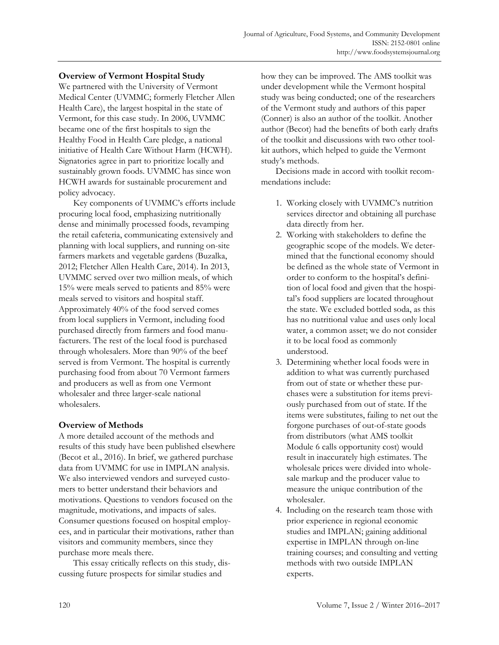### **Overview of Vermont Hospital Study**

We partnered with the University of Vermont Medical Center (UVMMC; formerly Fletcher Allen Health Care), the largest hospital in the state of Vermont, for this case study. In 2006, UVMMC became one of the first hospitals to sign the Healthy Food in Health Care pledge, a national initiative of Health Care Without Harm (HCWH). Signatories agree in part to prioritize locally and sustainably grown foods. UVMMC has since won HCWH awards for sustainable procurement and policy advocacy.

 Key components of UVMMC's efforts include procuring local food, emphasizing nutritionally dense and minimally processed foods, revamping the retail cafeteria, communicating extensively and planning with local suppliers, and running on-site farmers markets and vegetable gardens (Buzalka, 2012; Fletcher Allen Health Care, 2014). In 2013, UVMMC served over two million meals, of which 15% were meals served to patients and 85% were meals served to visitors and hospital staff. Approximately 40% of the food served comes from local suppliers in Vermont, including food purchased directly from farmers and food manufacturers. The rest of the local food is purchased through wholesalers. More than 90% of the beef served is from Vermont. The hospital is currently purchasing food from about 70 Vermont farmers and producers as well as from one Vermont wholesaler and three larger-scale national wholesalers.

#### **Overview of Methods**

A more detailed account of the methods and results of this study have been published elsewhere (Becot et al., 2016). In brief, we gathered purchase data from UVMMC for use in IMPLAN analysis. We also interviewed vendors and surveyed customers to better understand their behaviors and motivations. Questions to vendors focused on the magnitude, motivations, and impacts of sales. Consumer questions focused on hospital employees, and in particular their motivations, rather than visitors and community members, since they purchase more meals there.

 This essay critically reflects on this study, discussing future prospects for similar studies and

how they can be improved. The AMS toolkit was under development while the Vermont hospital study was being conducted; one of the researchers of the Vermont study and authors of this paper (Conner) is also an author of the toolkit. Another author (Becot) had the benefits of both early drafts of the toolkit and discussions with two other toolkit authors, which helped to guide the Vermont study's methods.

 Decisions made in accord with toolkit recommendations include:

- 1. Working closely with UVMMC's nutrition services director and obtaining all purchase data directly from her.
- 2. Working with stakeholders to define the geographic scope of the models. We determined that the functional economy should be defined as the whole state of Vermont in order to conform to the hospital's definition of local food and given that the hospital's food suppliers are located throughout the state. We excluded bottled soda, as this has no nutritional value and uses only local water, a common asset; we do not consider it to be local food as commonly understood.
- 3. Determining whether local foods were in addition to what was currently purchased from out of state or whether these purchases were a substitution for items previously purchased from out of state. If the items were substitutes, failing to net out the forgone purchases of out-of-state goods from distributors (what AMS toolkit Module 6 calls opportunity cost) would result in inaccurately high estimates. The wholesale prices were divided into wholesale markup and the producer value to measure the unique contribution of the wholesaler.
- 4. Including on the research team those with prior experience in regional economic studies and IMPLAN; gaining additional expertise in IMPLAN through on-line training courses; and consulting and vetting methods with two outside IMPLAN experts.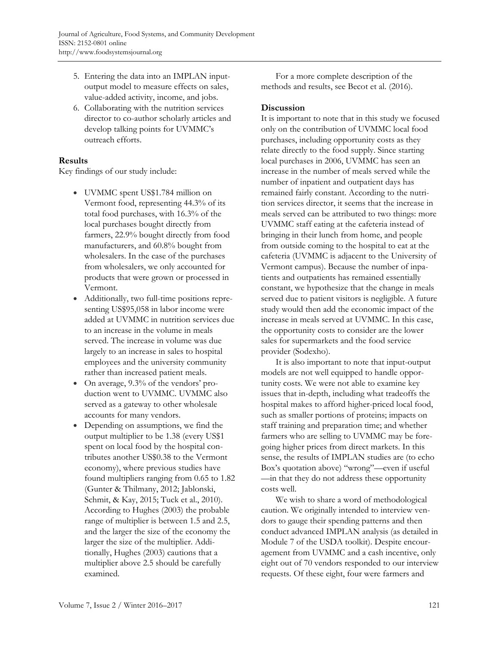- 5. Entering the data into an IMPLAN inputoutput model to measure effects on sales, value-added activity, income, and jobs.
- 6. Collaborating with the nutrition services director to co-author scholarly articles and develop talking points for UVMMC's outreach efforts.

## **Results**

Key findings of our study include:

- UVMMC spent US\$1.784 million on Vermont food, representing 44.3% of its total food purchases, with 16.3% of the local purchases bought directly from farmers, 22.9% bought directly from food manufacturers, and 60.8% bought from wholesalers. In the case of the purchases from wholesalers, we only accounted for products that were grown or processed in Vermont.
- Additionally, two full-time positions representing US\$95,058 in labor income were added at UVMMC in nutrition services due to an increase in the volume in meals served. The increase in volume was due largely to an increase in sales to hospital employees and the university community rather than increased patient meals.
- On average, 9.3% of the vendors' production went to UVMMC. UVMMC also served as a gateway to other wholesale accounts for many vendors.
- Depending on assumptions, we find the output multiplier to be 1.38 (every US\$1 spent on local food by the hospital contributes another US\$0.38 to the Vermont economy), where previous studies have found multipliers ranging from 0.65 to 1.82 (Gunter & Thilmany, 2012; Jablonski, Schmit, & Kay, 2015; Tuck et al., 2010). According to Hughes (2003) the probable range of multiplier is between 1.5 and 2.5, and the larger the size of the economy the larger the size of the multiplier. Additionally, Hughes (2003) cautions that a multiplier above 2.5 should be carefully examined.

 For a more complete description of the methods and results, see Becot et al. (2016).

### **Discussion**

It is important to note that in this study we focused only on the contribution of UVMMC local food purchases, including opportunity costs as they relate directly to the food supply. Since starting local purchases in 2006, UVMMC has seen an increase in the number of meals served while the number of inpatient and outpatient days has remained fairly constant. According to the nutrition services director, it seems that the increase in meals served can be attributed to two things: more UVMMC staff eating at the cafeteria instead of bringing in their lunch from home, and people from outside coming to the hospital to eat at the cafeteria (UVMMC is adjacent to the University of Vermont campus). Because the number of inpatients and outpatients has remained essentially constant, we hypothesize that the change in meals served due to patient visitors is negligible. A future study would then add the economic impact of the increase in meals served at UVMMC. In this case, the opportunity costs to consider are the lower sales for supermarkets and the food service provider (Sodexho).

 It is also important to note that input-output models are not well equipped to handle opportunity costs. We were not able to examine key issues that in-depth, including what tradeoffs the hospital makes to afford higher-priced local food, such as smaller portions of proteins; impacts on staff training and preparation time; and whether farmers who are selling to UVMMC may be foregoing higher prices from direct markets. In this sense, the results of IMPLAN studies are (to echo Box's quotation above) "wrong"—even if useful —in that they do not address these opportunity costs well.

 We wish to share a word of methodological caution. We originally intended to interview vendors to gauge their spending patterns and then conduct advanced IMPLAN analysis (as detailed in Module 7 of the USDA toolkit). Despite encouragement from UVMMC and a cash incentive, only eight out of 70 vendors responded to our interview requests. Of these eight, four were farmers and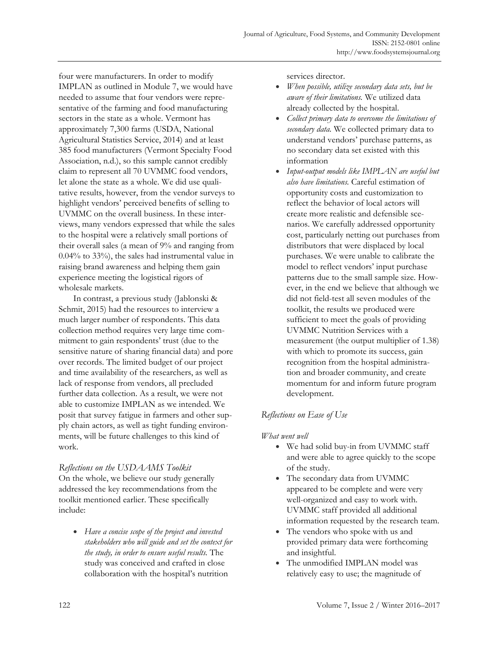four were manufacturers. In order to modify IMPLAN as outlined in Module 7, we would have needed to assume that four vendors were representative of the farming and food manufacturing sectors in the state as a whole. Vermont has approximately 7,300 farms (USDA, National Agricultural Statistics Service, 2014) and at least 385 food manufacturers (Vermont Specialty Food Association, n.d.), so this sample cannot credibly claim to represent all 70 UVMMC food vendors, let alone the state as a whole. We did use qualitative results, however, from the vendor surveys to highlight vendors' perceived benefits of selling to UVMMC on the overall business. In these interviews, many vendors expressed that while the sales to the hospital were a relatively small portions of their overall sales (a mean of 9% and ranging from 0.04% to 33%), the sales had instrumental value in raising brand awareness and helping them gain experience meeting the logistical rigors of wholesale markets.

 In contrast, a previous study (Jablonski & Schmit, 2015) had the resources to interview a much larger number of respondents. This data collection method requires very large time commitment to gain respondents' trust (due to the sensitive nature of sharing financial data) and pore over records. The limited budget of our project and time availability of the researchers, as well as lack of response from vendors, all precluded further data collection. As a result, we were not able to customize IMPLAN as we intended. We posit that survey fatigue in farmers and other supply chain actors, as well as tight funding environments, will be future challenges to this kind of work.

#### *Reflections on the USDAAMS Toolkit*

On the whole, we believe our study generally addressed the key recommendations from the toolkit mentioned earlier. These specifically include:

• *Have a concise scope of the project and invested stakeholders who will guide and set the context for the study, in order to ensure useful results.* The study was conceived and crafted in close collaboration with the hospital's nutrition

services director.

- *When possible, utilize secondary data sets, but be aware of their limitations.* We utilized data already collected by the hospital.
- *Collect primary data to overcome the limitations of secondary data.* We collected primary data to understand vendors' purchase patterns, as no secondary data set existed with this information
- *Input-output models like IMPLAN are useful but also have limitations.* Careful estimation of opportunity costs and customization to reflect the behavior of local actors will create more realistic and defensible scenarios. We carefully addressed opportunity cost, particularly netting out purchases from distributors that were displaced by local purchases. We were unable to calibrate the model to reflect vendors' input purchase patterns due to the small sample size. However, in the end we believe that although we did not field-test all seven modules of the toolkit, the results we produced were sufficient to meet the goals of providing UVMMC Nutrition Services with a measurement (the output multiplier of 1.38) with which to promote its success, gain recognition from the hospital administration and broader community, and create momentum for and inform future program development.

# *Reflections on Ease of Use*

#### *What went well*

- We had solid buy-in from UVMMC staff and were able to agree quickly to the scope of the study.
- The secondary data from UVMMC appeared to be complete and were very well-organized and easy to work with. UVMMC staff provided all additional information requested by the research team.
- The vendors who spoke with us and provided primary data were forthcoming and insightful.
- The unmodified IMPLAN model was relatively easy to use; the magnitude of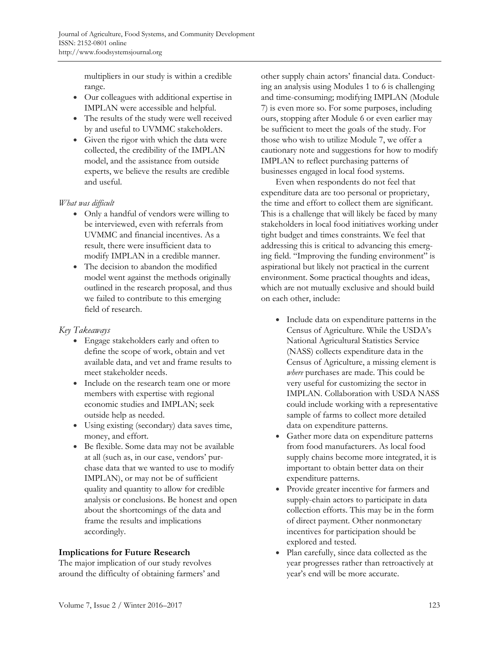multipliers in our study is within a credible range.

- Our colleagues with additional expertise in IMPLAN were accessible and helpful.
- The results of the study were well received by and useful to UVMMC stakeholders.
- Given the rigor with which the data were collected, the credibility of the IMPLAN model, and the assistance from outside experts, we believe the results are credible and useful.

# *What was difficult*

- Only a handful of vendors were willing to be interviewed, even with referrals from UVMMC and financial incentives. As a result, there were insufficient data to modify IMPLAN in a credible manner.
- The decision to abandon the modified model went against the methods originally outlined in the research proposal, and thus we failed to contribute to this emerging field of research.

# *Key Takeaways*

- Engage stakeholders early and often to define the scope of work, obtain and vet available data, and vet and frame results to meet stakeholder needs.
- Include on the research team one or more members with expertise with regional economic studies and IMPLAN; seek outside help as needed.
- Using existing (secondary) data saves time, money, and effort.
- Be flexible. Some data may not be available at all (such as, in our case, vendors' purchase data that we wanted to use to modify IMPLAN), or may not be of sufficient quality and quantity to allow for credible analysis or conclusions. Be honest and open about the shortcomings of the data and frame the results and implications accordingly.

# **Implications for Future Research**

The major implication of our study revolves around the difficulty of obtaining farmers' and other supply chain actors' financial data. Conducting an analysis using Modules 1 to 6 is challenging and time-consuming; modifying IMPLAN (Module 7) is even more so. For some purposes, including ours, stopping after Module 6 or even earlier may be sufficient to meet the goals of the study. For those who wish to utilize Module 7, we offer a cautionary note and suggestions for how to modify IMPLAN to reflect purchasing patterns of businesses engaged in local food systems.

 Even when respondents do not feel that expenditure data are too personal or proprietary, the time and effort to collect them are significant. This is a challenge that will likely be faced by many stakeholders in local food initiatives working under tight budget and times constraints. We feel that addressing this is critical to advancing this emerging field. "Improving the funding environment" is aspirational but likely not practical in the current environment. Some practical thoughts and ideas, which are not mutually exclusive and should build on each other, include:

- Include data on expenditure patterns in the Census of Agriculture. While the USDA's National Agricultural Statistics Service (NASS) collects expenditure data in the Census of Agriculture, a missing element is *where* purchases are made. This could be very useful for customizing the sector in IMPLAN. Collaboration with USDA NASS could include working with a representative sample of farms to collect more detailed data on expenditure patterns.
- Gather more data on expenditure patterns from food manufacturers. As local food supply chains become more integrated, it is important to obtain better data on their expenditure patterns.
- Provide greater incentive for farmers and supply-chain actors to participate in data collection efforts. This may be in the form of direct payment. Other nonmonetary incentives for participation should be explored and tested.
- Plan carefully, since data collected as the year progresses rather than retroactively at year's end will be more accurate.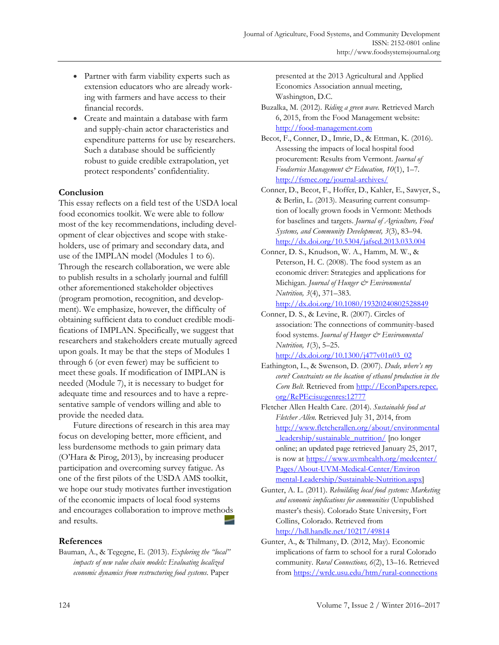- Partner with farm viability experts such as extension educators who are already working with farmers and have access to their financial records.
- Create and maintain a database with farm and supply-chain actor characteristics and expenditure patterns for use by researchers. Such a database should be sufficiently robust to guide credible extrapolation, yet protect respondents' confidentiality.

## **Conclusion**

This essay reflects on a field test of the USDA local food economics toolkit. We were able to follow most of the key recommendations, including development of clear objectives and scope with stakeholders, use of primary and secondary data, and use of the IMPLAN model (Modules 1 to 6). Through the research collaboration, we were able to publish results in a scholarly journal and fulfill other aforementioned stakeholder objectives (program promotion, recognition, and development). We emphasize, however, the difficulty of obtaining sufficient data to conduct credible modifications of IMPLAN. Specifically, we suggest that researchers and stakeholders create mutually agreed upon goals. It may be that the steps of Modules 1 through 6 (or even fewer) may be sufficient to meet these goals. If modification of IMPLAN is needed (Module 7), it is necessary to budget for adequate time and resources and to have a representative sample of vendors willing and able to provide the needed data.

 Future directions of research in this area may focus on developing better, more efficient, and less burdensome methods to gain primary data (O'Hara & Pirog, 2013), by increasing producer participation and overcoming survey fatigue. As one of the first pilots of the USDA AMS toolkit, we hope our study motivates further investigation of the economic impacts of local food systems and encourages collaboration to improve methods and results.

#### **References**

Bauman, A., & Tegegne, E. (2013). *Exploring the "local" impacts of new value chain models: Evaluating localized economic dynamics from restructuring food systems*. Paper

presented at the 2013 Agricultural and Applied Economics Association annual meeting, Washington, D.C.

- Buzalka, M. (2012). *Riding a green wave.* Retrieved March 6, 2015, from the Food Management website: http://food-management.com
- Becot, F., Conner, D., Imrie, D., & Ettman, K. (2016). Assessing the impacts of local hospital food procurement: Results from Vermont. *Journal of Foodservice Management & Education, 10*(1), 1–7*.* http://fsmec.org/journal-archives/
- Conner, D., Becot, F., Hoffer, D., Kahler, E., Sawyer, S., & Berlin, L. (2013). Measuring current consumption of locally grown foods in Vermont: Methods for baselines and targets. *Journal of Agriculture, Food Systems, and Community Development, 3*(3), 83–94. http://dx.doi.org/10.5304/jafscd.2013.033.004
- Conner, D. S., Knudson, W. A., Hamm, M. W., & Peterson, H. C. (2008). The food system as an economic driver: Strategies and applications for Michigan. *Journal of Hunger & Environmental Nutrition, 3*(4), 371–383.

http://dx.doi.org/10.1080/19320240802528849

Conner, D. S., & Levine, R. (2007). Circles of association: The connections of community-based food systems. *Journal of Hunger & Environmental Nutrition, 1*(3), 5–25.

http://dx.doi.org/10.1300/j477v01n03\_02

- Eathington, L., & Swenson, D. (2007). *Dude, where's my corn? Constraints on the location of ethanol production in the Corn Belt*[. Retrieved from http://EconPapers.repec.](http://EconPapers.repec.org/RePEc:isu:genres:12777)  org/RePEc:isu:genres:12777
- Fletcher Allen Health Care. (2014). *Sustainable food at Fletcher Allen.* Retrieved July 31, 2014, from [http://www.fletcherallen.org/about/environmental](http://www.fletcherallen.org/about/environmental_leadership/sustainable_nutrition/) leadership/sustainable\_nutrition/ [no longer online; an updated page retrieved January 25, 2017, [is now at https://www.uvmhealth.org/medcenter/](https://www.uvmhealth.org/medcenter/Pages/About-UVM-Medical-Center/Environmental-Leadership/Sustainable-Nutrition.aspx)  Pages/About-UVM-Medical-Center/Environ mental-Leadership/Sustainable-Nutrition.aspx]
- Gunter, A. L. (2011). *Rebuilding local food systems: Marketing and economic implications for communities* (Unpublished master's thesis)*.* Colorado State University, Fort Collins, Colorado. Retrieved from http://hdl.handle.net/10217/49814
- Gunter, A., & Thilmany, D. (2012, May). Economic implications of farm to school for a rural Colorado community. *Rural Connections, 6*(2), 13–16. Retrieved from https://wrdc.usu.edu/htm/rural-connections